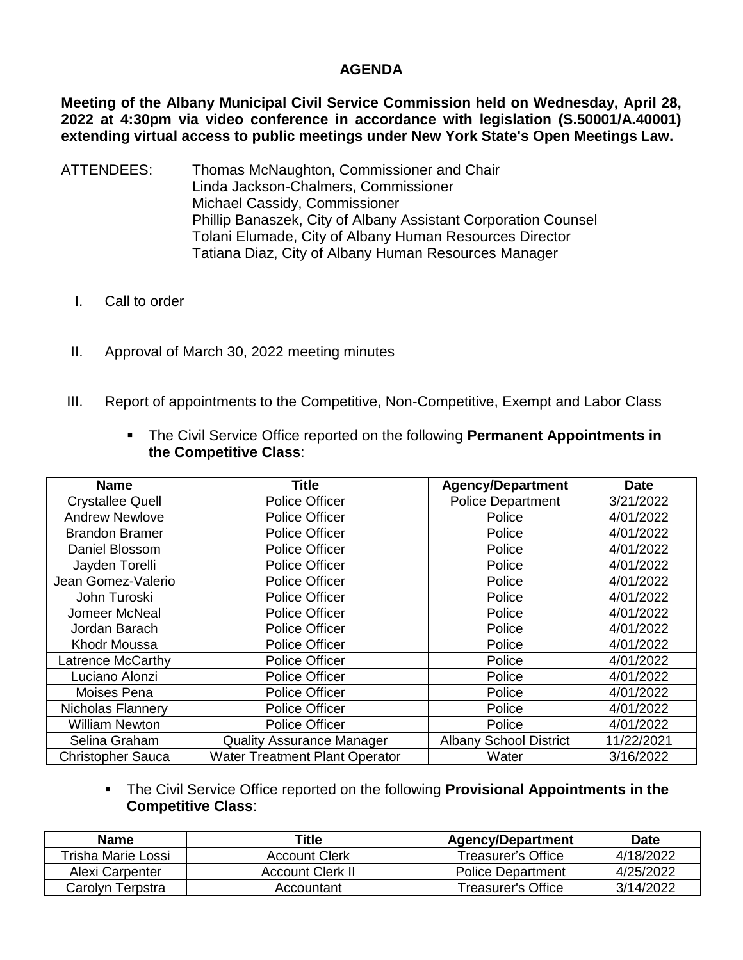## **AGENDA**

**Meeting of the Albany Municipal Civil Service Commission held on Wednesday, April 28, 2022 at 4:30pm via video conference in accordance with legislation (S.50001/A.40001) extending virtual access to public meetings under New York State's Open Meetings Law.** 

- ATTENDEES: Thomas McNaughton, Commissioner and Chair Linda Jackson-Chalmers, Commissioner Michael Cassidy, Commissioner Phillip Banaszek, City of Albany Assistant Corporation Counsel Tolani Elumade, City of Albany Human Resources Director Tatiana Diaz, City of Albany Human Resources Manager
	- I. Call to order
	- II. Approval of March 30, 2022 meeting minutes
- III. Report of appointments to the Competitive, Non-Competitive, Exempt and Labor Class

| <b>Name</b>              | <b>Title</b>                          | <b>Agency/Department</b>      | <b>Date</b> |
|--------------------------|---------------------------------------|-------------------------------|-------------|
| <b>Crystallee Quell</b>  | <b>Police Officer</b>                 | <b>Police Department</b>      | 3/21/2022   |
| <b>Andrew Newlove</b>    | <b>Police Officer</b>                 | Police                        | 4/01/2022   |
| <b>Brandon Bramer</b>    | <b>Police Officer</b>                 | Police                        | 4/01/2022   |
| Daniel Blossom           | <b>Police Officer</b>                 | Police                        | 4/01/2022   |
| Jayden Torelli           | Police Officer                        | Police                        | 4/01/2022   |
| Jean Gomez-Valerio       | Police Officer                        | Police                        | 4/01/2022   |
| John Turoski             | <b>Police Officer</b>                 | Police                        | 4/01/2022   |
| Jomeer McNeal            | <b>Police Officer</b>                 | Police                        | 4/01/2022   |
| Jordan Barach            | <b>Police Officer</b>                 | Police                        | 4/01/2022   |
| Khodr Moussa             | <b>Police Officer</b>                 | Police                        | 4/01/2022   |
| Latrence McCarthy        | <b>Police Officer</b>                 | Police                        | 4/01/2022   |
| Luciano Alonzi           | <b>Police Officer</b>                 | Police                        | 4/01/2022   |
| Moises Pena              | <b>Police Officer</b>                 | Police                        | 4/01/2022   |
| Nicholas Flannery        | <b>Police Officer</b>                 | Police                        | 4/01/2022   |
| <b>William Newton</b>    | <b>Police Officer</b>                 | Police                        | 4/01/2022   |
| Selina Graham            | <b>Quality Assurance Manager</b>      | <b>Albany School District</b> | 11/22/2021  |
| <b>Christopher Sauca</b> | <b>Water Treatment Plant Operator</b> | Water                         | 3/16/2022   |

 The Civil Service Office reported on the following **Permanent Appointments in the Competitive Class**:

 The Civil Service Office reported on the following **Provisional Appointments in the Competitive Class**:

| <b>Name</b>        | Title                | <b>Agency/Department</b> | <b>Date</b> |
|--------------------|----------------------|--------------------------|-------------|
| Trisha Marie Lossi | <b>Account Clerk</b> | Treasurer's Office       | 4/18/2022   |
| Alexi Carpenter    | Account Clerk II     | <b>Police Department</b> | 4/25/2022   |
| Carolvn Terpstra   | Accountant           | Treasurer's Office       | 3/14/2022   |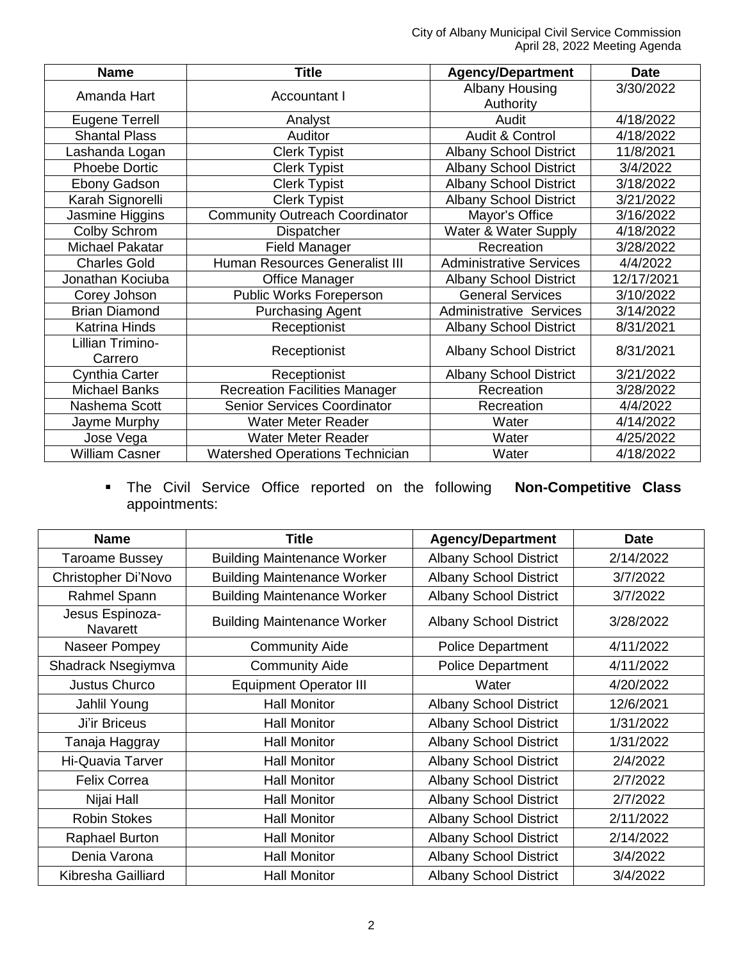City of Albany Municipal Civil Service Commission April 28, 2022 Meeting Agenda

| <b>Name</b>           | <b>Title</b>                           | <b>Agency/Department</b>       | <b>Date</b>                                                                                                                                                                                                                                                                        |
|-----------------------|----------------------------------------|--------------------------------|------------------------------------------------------------------------------------------------------------------------------------------------------------------------------------------------------------------------------------------------------------------------------------|
| Amanda Hart           | <b>Accountant I</b>                    | <b>Albany Housing</b>          | 3/30/2022                                                                                                                                                                                                                                                                          |
|                       |                                        | Authority                      | 4/18/2022<br>4/18/2022<br>11/8/2021<br>3/4/2022<br>3/18/2022<br>3/21/2022<br>3/16/2022<br>4/18/2022<br>3/28/2022<br>4/4/2022<br>12/17/2021<br>3/10/2022<br>3/14/2022<br>8/31/2021<br>8/31/2021<br><b>Albany School District</b><br>3/21/2022<br>3/28/2022<br>4/4/2022<br>4/14/2022 |
| Eugene Terrell        | Analyst                                | Audit                          |                                                                                                                                                                                                                                                                                    |
| <b>Shantal Plass</b>  | <b>Auditor</b>                         | Audit & Control                |                                                                                                                                                                                                                                                                                    |
| Lashanda Logan        | <b>Clerk Typist</b>                    | <b>Albany School District</b>  |                                                                                                                                                                                                                                                                                    |
| <b>Phoebe Dortic</b>  | <b>Clerk Typist</b>                    | <b>Albany School District</b>  |                                                                                                                                                                                                                                                                                    |
| Ebony Gadson          | <b>Clerk Typist</b>                    | <b>Albany School District</b>  |                                                                                                                                                                                                                                                                                    |
| Karah Signorelli      | <b>Clerk Typist</b>                    | <b>Albany School District</b>  |                                                                                                                                                                                                                                                                                    |
| Jasmine Higgins       | <b>Community Outreach Coordinator</b>  | Mayor's Office                 |                                                                                                                                                                                                                                                                                    |
| Colby Schrom          | Dispatcher                             | Water & Water Supply           |                                                                                                                                                                                                                                                                                    |
| Michael Pakatar       | <b>Field Manager</b>                   | Recreation                     |                                                                                                                                                                                                                                                                                    |
| <b>Charles Gold</b>   | Human Resources Generalist III         | <b>Administrative Services</b> |                                                                                                                                                                                                                                                                                    |
| Jonathan Kociuba      | <b>Office Manager</b>                  | <b>Albany School District</b>  |                                                                                                                                                                                                                                                                                    |
| Corey Johson          | Public Works Foreperson                | <b>General Services</b>        |                                                                                                                                                                                                                                                                                    |
| <b>Brian Diamond</b>  | <b>Purchasing Agent</b>                | <b>Administrative Services</b> |                                                                                                                                                                                                                                                                                    |
| <b>Katrina Hinds</b>  | Receptionist                           | <b>Albany School District</b>  |                                                                                                                                                                                                                                                                                    |
| Lillian Trimino-      |                                        |                                |                                                                                                                                                                                                                                                                                    |
| Carrero               | Receptionist                           |                                |                                                                                                                                                                                                                                                                                    |
| Cynthia Carter        | Receptionist                           | <b>Albany School District</b>  |                                                                                                                                                                                                                                                                                    |
| <b>Michael Banks</b>  | <b>Recreation Facilities Manager</b>   | Recreation                     |                                                                                                                                                                                                                                                                                    |
| Nashema Scott         | <b>Senior Services Coordinator</b>     | Recreation                     |                                                                                                                                                                                                                                                                                    |
| Jayme Murphy          | <b>Water Meter Reader</b>              | Water                          |                                                                                                                                                                                                                                                                                    |
| Jose Vega             | <b>Water Meter Reader</b>              | Water                          | 4/25/2022                                                                                                                                                                                                                                                                          |
| <b>William Casner</b> | <b>Watershed Operations Technician</b> | Water                          | 4/18/2022                                                                                                                                                                                                                                                                          |

 The Civil Service Office reported on the following **Non-Competitive Class** appointments:

| <b>Name</b>                        | <b>Title</b>                       | <b>Agency/Department</b>      | <b>Date</b> |
|------------------------------------|------------------------------------|-------------------------------|-------------|
| <b>Taroame Bussey</b>              | <b>Building Maintenance Worker</b> | <b>Albany School District</b> | 2/14/2022   |
| Christopher Di'Novo                | <b>Building Maintenance Worker</b> | <b>Albany School District</b> | 3/7/2022    |
| Rahmel Spann                       | <b>Building Maintenance Worker</b> | <b>Albany School District</b> | 3/7/2022    |
| Jesus Espinoza-<br><b>Navarett</b> | <b>Building Maintenance Worker</b> | <b>Albany School District</b> | 3/28/2022   |
| Naseer Pompey                      | <b>Community Aide</b>              | <b>Police Department</b>      | 4/11/2022   |
| Shadrack Nsegiymva                 | <b>Community Aide</b>              | <b>Police Department</b>      | 4/11/2022   |
| <b>Justus Churco</b>               | <b>Equipment Operator III</b>      | Water                         | 4/20/2022   |
| Jahlil Young                       | <b>Hall Monitor</b>                | <b>Albany School District</b> | 12/6/2021   |
| Ji'ir Briceus                      | <b>Hall Monitor</b>                | <b>Albany School District</b> | 1/31/2022   |
| Tanaja Haggray                     | <b>Hall Monitor</b>                | <b>Albany School District</b> | 1/31/2022   |
| <b>Hi-Quavia Tarver</b>            | <b>Hall Monitor</b>                | <b>Albany School District</b> | 2/4/2022    |
| <b>Felix Correa</b>                | <b>Hall Monitor</b>                | <b>Albany School District</b> | 2/7/2022    |
| Nijai Hall                         | <b>Hall Monitor</b>                | <b>Albany School District</b> | 2/7/2022    |
| <b>Robin Stokes</b>                | <b>Hall Monitor</b>                | <b>Albany School District</b> | 2/11/2022   |
| Raphael Burton                     | <b>Hall Monitor</b>                | <b>Albany School District</b> | 2/14/2022   |
| Denia Varona                       | <b>Hall Monitor</b>                | <b>Albany School District</b> | 3/4/2022    |
| Kibresha Gailliard                 | <b>Hall Monitor</b>                | <b>Albany School District</b> | 3/4/2022    |